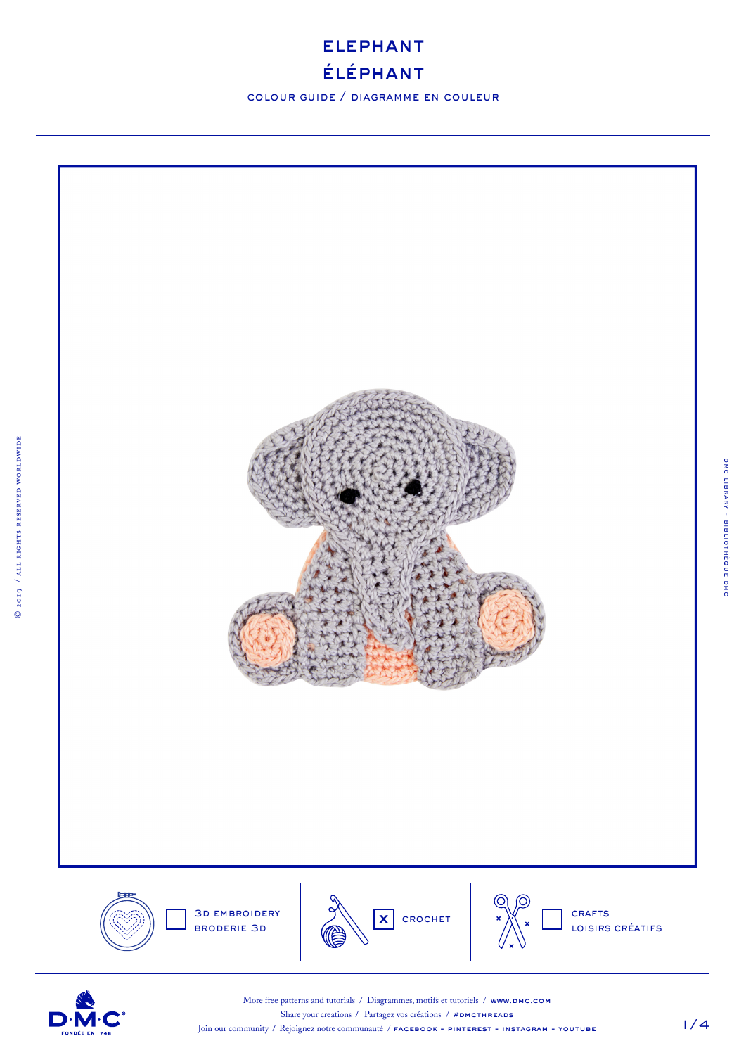

colour guide / diagramme en couleur





More free patterns and tutorials / Diagrammes, motifs et tutoriels / www.DMC.COM Share your creations / Partagez vos créations /  $#DMCTHREADS$ Join our community / Rejoignez notre communauté / **FACEBOOK - PINTEREST - INSTAGRAM - YOUTUBE** 

1/4

dmc library - bibliothèque dmc

DMC LIBRARY - BIBLIOTHÈQUE DMC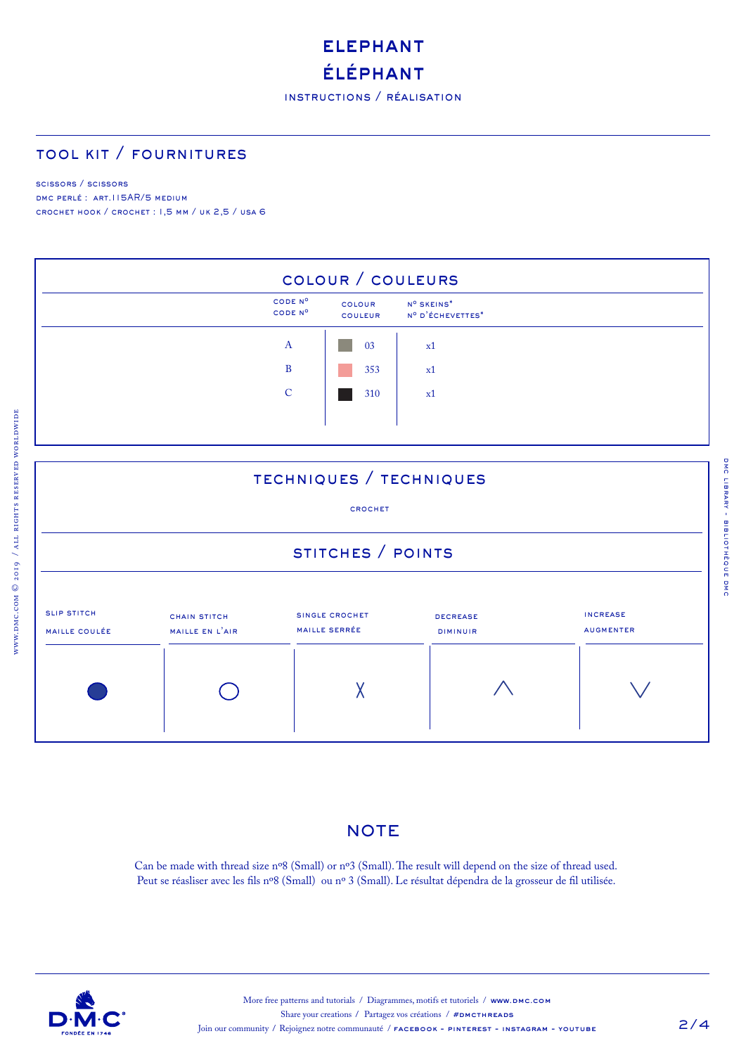# **ELEPHANT** éléphant

## tool kit / fournitures

#### scissors / scissors

www.dmc.com © 2019 / all rights reserved worldwide

WWW.DMC.COM © 2019 / ALL RIGHTS RESERVED WORLDWIDE

DMC PERLÉ : ART.115AR/5 MEDIUM crochet hook / crochet : 1,5 mm / uk 2,5 / usa 6



### techniques / techniques

#### crochet

### stitches / points



#### **NOTE**

Can be made with thread size nº8 (Small) or nº3 (Small). The result will depend on the size of thread used. Peut se réasliser avec les fils nº8 (Small) ou nº 3 (Small). Le résultat dépendra de la grosseur de fil utilisée.

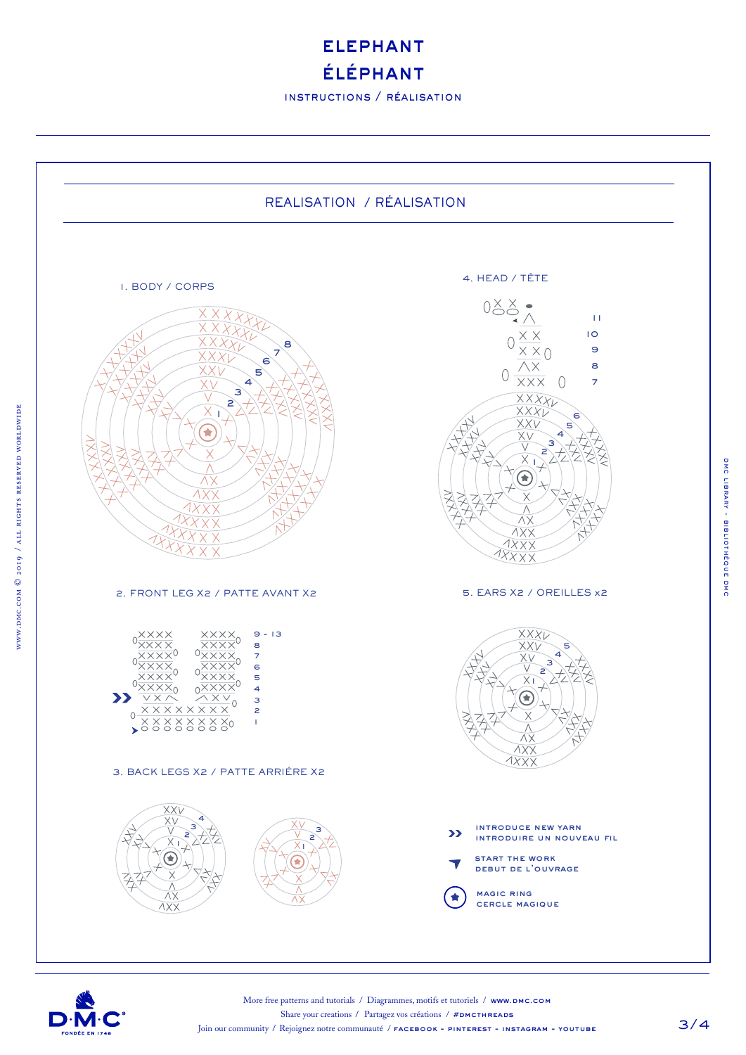**ELEPHANT** éléphant

instructions / réalisation





www.dmc.com © 2019 / all rights reserved worldwide

WWW.DMC.COM © 2019 / ALL RIGHTS RESERVED WORLDWIDE

More free patterns and tutorials / Diagrammes, motifs et tutoriels / www.DMC.COM Share your creations / Partagez vos créations /  $#$ DMCTHREADS Join our community / Rejoignez notre communauté / **FACEBOOK - PINTEREST - INSTAGRAM - YOUTUBE**